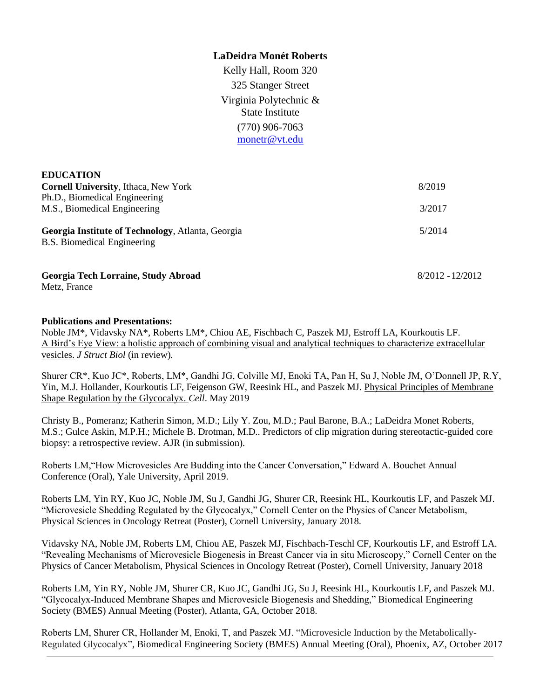### **LaDeidra Monét Roberts**

Kelly Hall, Room 320 325 Stanger Street Virginia Polytechnic & State Institute (770) 906-7063 [monetr@vt.edu](mailto:lmr254@cornell.edu)

| <b>EDUCATION</b>                                  |        |
|---------------------------------------------------|--------|
| <b>Cornell University, Ithaca, New York</b>       | 8/2019 |
| Ph.D., Biomedical Engineering                     |        |
| M.S., Biomedical Engineering                      | 3/2017 |
|                                                   |        |
| Georgia Institute of Technology, Atlanta, Georgia | 5/2014 |
| <b>B.S.</b> Biomedical Engineering                |        |
|                                                   |        |
|                                                   |        |

**Georgia Tech Lorraine, Study Abroad** 8/2012 -12/2012

Metz, France

#### **Publications and Presentations:**

Noble JM\*, Vidavsky NA\*, Roberts LM\*, Chiou AE, Fischbach C, Paszek MJ, Estroff LA, Kourkoutis LF. A Bird's Eye View: a holistic approach of combining visual and analytical techniques to characterize extracellular vesicles. *J Struct Biol* (in review)*.*

Shurer CR\*, Kuo JC\*, Roberts, LM\*, Gandhi JG, Colville MJ, Enoki TA, Pan H, Su J, Noble JM, O'Donnell JP, R.Y, Yin, M.J. Hollander, Kourkoutis LF, Feigenson GW, Reesink HL, and Paszek MJ. Physical Principles of Membrane Shape Regulation by the Glycocalyx. *Cell*. May 2019

Christy B., Pomeranz; Katherin Simon, M.D.; Lily Y. Zou, M.D.; Paul Barone, B.A.; LaDeidra Monet Roberts, M.S.; Gulce Askin, M.P.H.; Michele B. Drotman, M.D.. Predictors of clip migration during stereotactic-guided core biopsy: a retrospective review. AJR (in submission).

Roberts LM,"How Microvesicles Are Budding into the Cancer Conversation," Edward A. Bouchet Annual Conference (Oral), Yale University, April 2019.

Roberts LM, Yin RY, Kuo JC, Noble JM, Su J, Gandhi JG, Shurer CR, Reesink HL, Kourkoutis LF, and Paszek MJ. "Microvesicle Shedding Regulated by the Glycocalyx," Cornell Center on the Physics of Cancer Metabolism, Physical Sciences in Oncology Retreat (Poster), Cornell University, January 2018.

Vidavsky NA, Noble JM, Roberts LM, Chiou AE, Paszek MJ, Fischbach-Teschl CF, Kourkoutis LF, and Estroff LA. "Revealing Mechanisms of Microvesicle Biogenesis in Breast Cancer via in situ Microscopy," Cornell Center on the Physics of Cancer Metabolism, Physical Sciences in Oncology Retreat (Poster), Cornell University, January 2018

Roberts LM, Yin RY, Noble JM, Shurer CR, Kuo JC, Gandhi JG, Su J, Reesink HL, Kourkoutis LF, and Paszek MJ. "Glycocalyx-Induced Membrane Shapes and Microvesicle Biogenesis and Shedding," Biomedical Engineering Society (BMES) Annual Meeting (Poster), Atlanta, GA, October 2018.

Roberts LM, Shurer CR, Hollander M, Enoki, T, and Paszek MJ. "Microvesicle Induction by the Metabolically-Regulated Glycocalyx", Biomedical Engineering Society (BMES) Annual Meeting (Oral), Phoenix, AZ, October 2017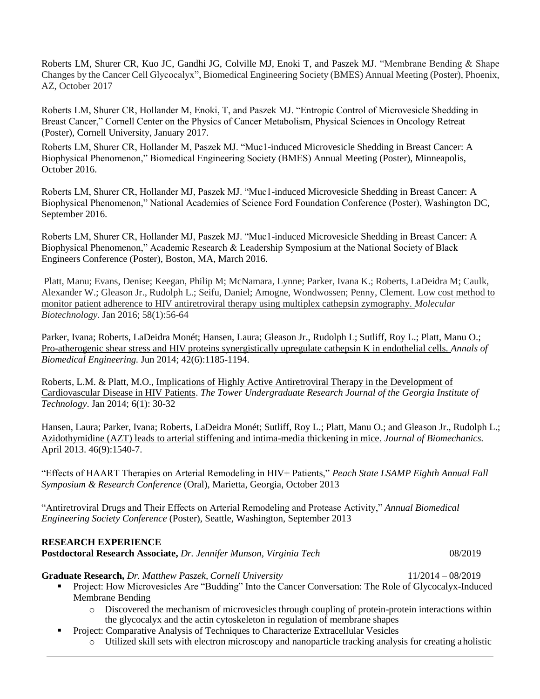Roberts LM, Shurer CR, Kuo JC, Gandhi JG, Colville MJ, Enoki T, and Paszek MJ. "Membrane Bending & Shape Changes by the Cancer Cell Glycocalyx", Biomedical Engineering Society (BMES) Annual Meeting (Poster), Phoenix, AZ, October 2017

Roberts LM, Shurer CR, Hollander M, Enoki, T, and Paszek MJ. "Entropic Control of Microvesicle Shedding in Breast Cancer," Cornell Center on the Physics of Cancer Metabolism, Physical Sciences in Oncology Retreat (Poster), Cornell University, January 2017.

Roberts LM, Shurer CR, Hollander M, Paszek MJ. "Muc1-induced Microvesicle Shedding in Breast Cancer: A Biophysical Phenomenon," Biomedical Engineering Society (BMES) Annual Meeting (Poster), Minneapolis, October 2016.

Roberts LM, Shurer CR, Hollander MJ, Paszek MJ. "Muc1-induced Microvesicle Shedding in Breast Cancer: A Biophysical Phenomenon," National Academies of Science Ford Foundation Conference (Poster), Washington DC, September 2016.

Roberts LM, Shurer CR, Hollander MJ, Paszek MJ. "Muc1-induced Microvesicle Shedding in Breast Cancer: A Biophysical Phenomenon," Academic Research & Leadership Symposium at the National Society of Black Engineers Conference (Poster), Boston, MA, March 2016.

Platt, Manu; Evans, Denise; Keegan, Philip M; McNamara, Lynne; Parker, Ivana K.; Roberts, LaDeidra M; Caulk, Alexander W.; Gleason Jr., Rudolph L.; Seifu, Daniel; Amogne, Wondwossen; Penny, Clement. Low cost method to monitor patient adherence to HIV antiretroviral therapy using multiplex cathepsin zymography. *Molecular Biotechnology.* Jan 2016; 58(1):56-64

Parker, Ivana; Roberts, LaDeidra Monét; Hansen, Laura; Gleason Jr., Rudolph L; Sutliff, Roy L.; Platt, Manu O.; Pro-atherogenic shear stress and HIV proteins synergistically upregulate cathepsin K in endothelial cells. *Annals of Biomedical Engineering.* Jun 2014; 42(6):1185-1194.

Roberts, L.M. & Platt, M.O., Implications of Highly Active Antiretroviral Therapy in the Development of Cardiovascular Disease in HIV Patients. *The Tower Undergraduate Research Journal of the Georgia Institute of Technology*. Jan 2014; 6(1): 30-32

Hansen, Laura; Parker, Ivana; Roberts, LaDeidra Monét; Sutliff, Roy L.; Platt, Manu O.; and Gleason Jr., Rudolph L.; [Azidothymidine \(AZT\) leads to arterial stiffening and intima-media thickening in mice.](http://www.sciencedirect.com/science/article/pii/S0021929013001371) *Journal of Biomechanics.* April 2013. 46(9):1540-7.

"Effects of HAART Therapies on Arterial Remodeling in HIV+ Patients," *Peach State LSAMP Eighth Annual Fall Symposium & Research Conference* (Oral), Marietta, Georgia, October 2013

"Antiretroviral Drugs and Their Effects on Arterial Remodeling and Protease Activity," *Annual Biomedical Engineering Society Conference* (Poster), Seattle, Washington, September 2013

### **RESEARCH EXPERIENCE**

**Postdoctoral Research Associate,** *Dr. Jennifer Munson, Virginia Tech* 08/2019

**Graduate Research,** *Dr. Matthew Paszek, Cornell University* 11/2014 – 08/2019

- Project: How Microvesicles Are "Budding" Into the Cancer Conversation: The Role of Glycocalyx-Induced Membrane Bending
	- o Discovered the mechanism of microvesicles through coupling of protein-protein interactions within the glycocalyx and the actin cytoskeleton in regulation of membrane shapes
- Project: Comparative Analysis of Techniques to Characterize Extracellular Vesicles
	- o Utilized skill sets with electron microscopy and nanoparticle tracking analysis for creating aholistic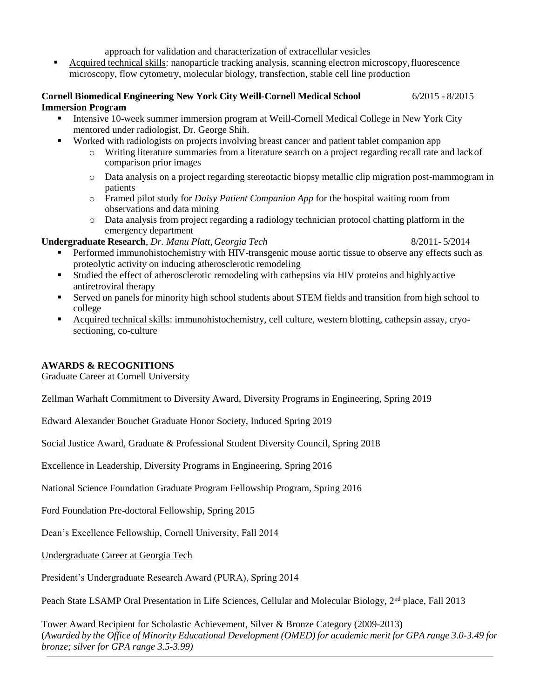approach for validation and characterization of extracellular vesicles

 Acquired technical skills: nanoparticle tracking analysis, scanning electron microscopy,fluorescence microscopy, flow cytometry, molecular biology, transfection, stable cell line production

#### **Cornell Biomedical Engineering New York City Weill-Cornell Medical School** 6/2015 - 8/2015 **Immersion Program**

- Intensive 10-week summer immersion program at Weill-Cornell Medical College in New York City mentored under radiologist, Dr. George Shih.
- **Worked with radiologists on projects involving breast cancer and patient tablet companion app** 
	- o Writing literature summaries from a literature search on a project regarding recall rate and lackof comparison prior images
	- o Data analysis on a project regarding stereotactic biopsy metallic clip migration post-mammogram in patients
	- o Framed pilot study for *Daisy Patient Companion App* for the hospital waiting room from observations and data mining
	- o Data analysis from project regarding a radiology technician protocol chatting platform in the emergency department

### **Undergraduate Research**, *Dr. Manu Platt, Georgia Tech* 8/2011- 5/2014

- 
- Performed immunohistochemistry with HIV-transgenic mouse aortic tissue to observe any effects such as proteolytic activity on inducing atherosclerotic remodeling
- Studied the effect of atherosclerotic remodeling with cathepsins via HIV proteins and highlyactive antiretroviral therapy
- Served on panels for minority high school students about STEM fields and transition from high school to college
- Acquired technical skills: immunohistochemistry, cell culture, western blotting, cathepsin assay, cryosectioning, co-culture

# **AWARDS & RECOGNITIONS**

Graduate Career at Cornell University

Zellman Warhaft Commitment to Diversity Award, Diversity Programs in Engineering, Spring 2019

Edward Alexander Bouchet Graduate Honor Society, Induced Spring 2019

Social Justice Award, Graduate & Professional Student Diversity Council, Spring 2018

Excellence in Leadership, Diversity Programs in Engineering, Spring 2016

National Science Foundation Graduate Program Fellowship Program, Spring 2016

Ford Foundation Pre-doctoral Fellowship, Spring 2015

Dean's Excellence Fellowship, Cornell University, Fall 2014

Undergraduate Career at Georgia Tech

President's Undergraduate Research Award (PURA), Spring 2014

Peach State LSAMP Oral Presentation in Life Sciences, Cellular and Molecular Biology, 2<sup>nd</sup> place, Fall 2013

Tower Award Recipient for Scholastic Achievement, Silver & Bronze Category (2009-2013) (Awarded by the Office of Minority Educational Development (OMED) for academic merit for GPA range 3.0-3.49 for *bronze; silver for GPA range 3.5-3.99)*